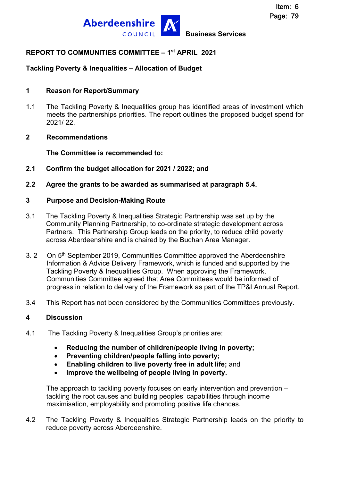

# **REPORT TO COMMUNITIES COMMITTEE – 1st APRIL 2021**

# **Tackling Poverty & Inequalities – Allocation of Budget**

#### **1 Reason for Report/Summary**

1.1 The Tackling Poverty & Inequalities group has identified areas of investment which meets the partnerships priorities. The report outlines the proposed budget spend for 2021/ 22.

#### **2 Recommendations**

**The Committee is recommended to:** 

- **2.1 Confirm the budget allocation for 2021 / 2022; and**
- **2.2 Agree the grants to be awarded as summarised at paragraph 5.4.**

#### **3 Purpose and Decision-Making Route**

- 3.1 The Tackling Poverty & Inequalities Strategic Partnership was set up by the Community Planning Partnership, to co-ordinate strategic development across Partners. This Partnership Group leads on the priority, to reduce child poverty across Aberdeenshire and is chaired by the Buchan Area Manager.
- 3. 2 On 5<sup>th</sup> September 2019, Communities Committee approved the Aberdeenshire Information & Advice Delivery Framework, which is funded and supported by the Tackling Poverty & Inequalities Group. When approving the Framework, Communities Committee agreed that Area Committees would be informed of progress in relation to delivery of the Framework as part of the TP&I Annual Report.
- 3.4 This Report has not been considered by the Communities Committees previously.

## **4 Discussion**

- 4.1 The Tackling Poverty & Inequalities Group's priorities are:
	- **Reducing the number of children/people living in poverty;**
	- **Preventing children/people falling into poverty;**
	- **Enabling children to live poverty free in adult life;** and
	- **Improve the wellbeing of people living in poverty.**

The approach to tackling poverty focuses on early intervention and prevention – tackling the root causes and building peoples' capabilities through income maximisation, employability and promoting positive life chances.

4.2 The Tackling Poverty & Inequalities Strategic Partnership leads on the priority to reduce poverty across Aberdeenshire.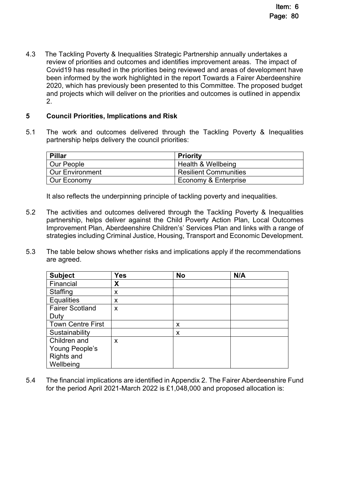4.3 The Tackling Poverty & Inequalities Strategic Partnership annually undertakes a review of priorities and outcomes and identifies improvement areas. The impact of Covid19 has resulted in the priorities being reviewed and areas of development have been informed by the work highlighted in the report Towards a Fairer Aberdeenshire 2020, which has previously been presented to this Committee. The proposed budget and projects which will deliver on the priorities and outcomes is outlined in appendix 2.

# **5 Council Priorities, Implications and Risk**

5.1 The work and outcomes delivered through the Tackling Poverty & Inequalities partnership helps delivery the council priorities:

| Pillar                 | <b>Priority</b>              |
|------------------------|------------------------------|
| Our People             | Health & Wellbeing           |
| <b>Our Environment</b> | <b>Resilient Communities</b> |
| Our Economy            | Economy & Enterprise         |

It also reflects the underpinning principle of tackling poverty and inequalities.

- 5.2 The activities and outcomes delivered through the Tackling Poverty & Inequalities partnership, helps deliver against the Child Poverty Action Plan, Local Outcomes Improvement Plan, Aberdeenshire Children's' Services Plan and links with a range of strategies including Criminal Justice, Housing, Transport and Economic Development.
- 5.3 The table below shows whether risks and implications apply if the recommendations are agreed.

| <b>Subject</b>           | <b>Yes</b> | <b>No</b> | N/A |
|--------------------------|------------|-----------|-----|
| Financial                | X          |           |     |
| Staffing                 | X          |           |     |
| <b>Equalities</b>        | X          |           |     |
| <b>Fairer Scotland</b>   | X          |           |     |
| Duty                     |            |           |     |
| <b>Town Centre First</b> |            | x         |     |
| Sustainability           |            | x         |     |
| Children and             | X          |           |     |
| Young People's           |            |           |     |
| <b>Rights and</b>        |            |           |     |
| Wellbeing                |            |           |     |

5.4 The financial implications are identified in Appendix 2. The Fairer Aberdeenshire Fund for the period April 2021-March 2022 is £1,048,000 and proposed allocation is: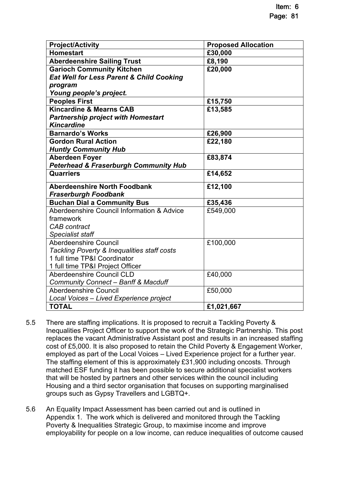| <b>Project/Activity</b>                             | <b>Proposed Allocation</b> |
|-----------------------------------------------------|----------------------------|
| <b>Homestart</b>                                    | £30,000                    |
| <b>Aberdeenshire Sailing Trust</b>                  | £8,190                     |
| <b>Garioch Community Kitchen</b>                    | £20,000                    |
| <b>Eat Well for Less Parent &amp; Child Cooking</b> |                            |
| program                                             |                            |
| Young people's project.                             |                            |
| <b>Peoples First</b>                                | £15,750                    |
| <b>Kincardine &amp; Mearns CAB</b>                  | £13,585                    |
| <b>Partnership project with Homestart</b>           |                            |
| <b>Kincardine</b>                                   |                            |
| <b>Barnardo's Works</b>                             | £26,900                    |
| <b>Gordon Rural Action</b>                          | £22,180                    |
| <b>Huntly Community Hub</b>                         |                            |
| <b>Aberdeen Foyer</b>                               | £83,874                    |
| <b>Peterhead &amp; Fraserburgh Community Hub</b>    |                            |
| <b>Quarriers</b>                                    | £14,652                    |
| <b>Aberdeenshire North Foodbank</b>                 | £12,100                    |
| <b>Fraserburgh Foodbank</b>                         |                            |
| <b>Buchan Dial a Community Bus</b>                  | £35,436                    |
| Aberdeenshire Council Information & Advice          | £549,000                   |
| framework                                           |                            |
| <b>CAB</b> contract                                 |                            |
| <b>Specialist staff</b>                             |                            |
| <b>Aberdeenshire Council</b>                        | £100,000                   |
| Tackling Poverty & Inequalities staff costs         |                            |
| 1 full time TP&I Coordinator                        |                            |
| 1 full time TP&I Project Officer                    |                            |
| <b>Aberdeenshire Council CLD</b>                    | £40,000                    |
| <b>Community Connect - Banff &amp; Macduff</b>      |                            |
| Aberdeenshire Council                               | £50,000                    |
| Local Voices - Lived Experience project             |                            |
| <b>TOTAL</b>                                        | £1,021,667                 |

- 5.5 There are staffing implications. It is proposed to recruit a Tackling Poverty & Inequalities Project Officer to support the work of the Strategic Partnership. This post replaces the vacant Administrative Assistant post and results in an increased staffing cost of £5,000. It is also proposed to retain the Child Poverty & Engagement Worker, employed as part of the Local Voices – Lived Experience project for a further year. The staffing element of this is approximately £31,900 including oncosts. Through matched ESF funding it has been possible to secure additional specialist workers that will be hosted by partners and other services within the council including Housing and a third sector organisation that focuses on supporting marginalised groups such as Gypsy Travellers and LGBTQ+.
- 5.6 An Equality Impact Assessment has been carried out and is outlined in Appendix 1. The work which is delivered and monitored through the Tackling Poverty & Inequalities Strategic Group, to maximise income and improve employability for people on a low income, can reduce inequalities of outcome caused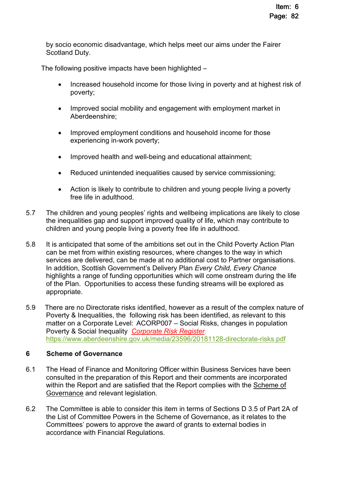by socio economic disadvantage, which helps meet our aims under the Fairer Scotland Duty.

The following positive impacts have been highlighted –

- Increased household income for those living in poverty and at highest risk of poverty;
- Improved social mobility and engagement with employment market in Aberdeenshire;
- Improved employment conditions and household income for those experiencing in-work poverty;
- Improved health and well-being and educational attainment;
- Reduced unintended inequalities caused by service commissioning;
- Action is likely to contribute to children and young people living a poverty free life in adulthood.
- 5.7 The children and young peoples' rights and wellbeing implications are likely to close the inequalities gap and support improved quality of life, which may contribute to children and young people living a poverty free life in adulthood.
- 5.8 It is anticipated that some of the ambitions set out in the Child Poverty Action Plan can be met from within existing resources, where changes to the way in which services are delivered, can be made at no additional cost to Partner organisations. In addition, Scottish Government's Delivery Plan *Every Child, Every Chance* highlights a range of funding opportunities which will come onstream during the life of the Plan. Opportunities to access these funding streams will be explored as appropriate.
- 5.9 There are no Directorate risks identified, however as a result of the complex nature of Poverty & Inequalities, the following risk has been identified, as relevant to this matter on a Corporate Level: ACORP007 – Social Risks, changes in population Poverty & Social Inequality *[Corporate Risk Register.](https://www.aberdeenshire.gov.uk/media/24689/aberdeenshirecorporaterisks.pdf)*  <https://www.aberdeenshire.gov.uk/media/23596/20181128-directorate-risks.pdf>

## **6 Scheme of Governance**

- 6.1 The Head of Finance and Monitoring Officer within Business Services have been consulted in the preparation of this Report and their comments are incorporated within the Report and are satisfied that the Report complies with the [Scheme of](https://aberdeenshire.sharepoint.com/sites/Arcadia/services/Pages/Business%20Services/Legal%20and%20Governance/Governance/Scheme-of-Governance-.aspx)  [Governance](https://aberdeenshire.sharepoint.com/sites/Arcadia/services/Pages/Business%20Services/Legal%20and%20Governance/Governance/Scheme-of-Governance-.aspx) and relevant legislation.
- 6.2 The Committee is able to consider this item in terms of Sections D 3.5 of Part 2A of the List of Committee Powers in the Scheme of Governance, as it relates to the Committees' powers to approve the award of grants to external bodies in accordance with Financial Regulations.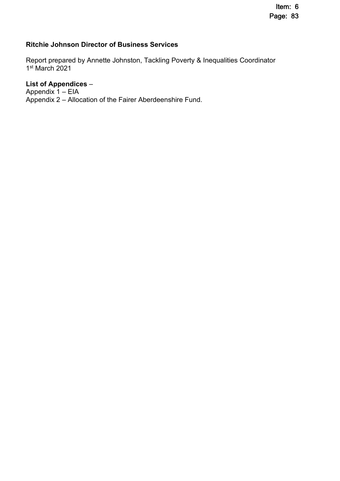# **Ritchie Johnson Director of Business Services**

Report prepared by Annette Johnston, Tackling Poverty & Inequalities Coordinator 1 st March 2021

# **List of Appendices** *–*

Appendix 1 – EIA Appendix 2 – Allocation of the Fairer Aberdeenshire Fund.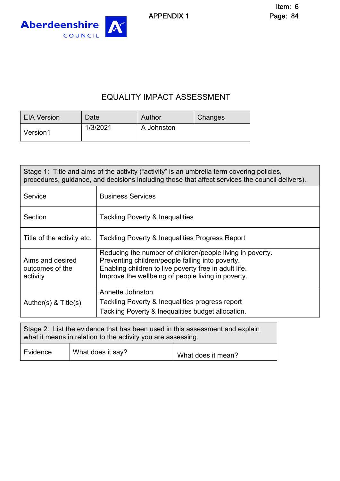APPENDIX 1



# EQUALITY IMPACT ASSESSMENT

| <b>EIA Version</b> | Date     | Author     | <b>Changes</b> |
|--------------------|----------|------------|----------------|
| Version1           | 1/3/2021 | A Johnston |                |

| Stage 1: Title and aims of the activity ("activity" is an umbrella term covering policies,<br>procedures, guidance, and decisions including those that affect services the council delivers). |                                                                                                                                                                                                                              |  |
|-----------------------------------------------------------------------------------------------------------------------------------------------------------------------------------------------|------------------------------------------------------------------------------------------------------------------------------------------------------------------------------------------------------------------------------|--|
| Service                                                                                                                                                                                       | <b>Business Services</b>                                                                                                                                                                                                     |  |
| Section                                                                                                                                                                                       | Tackling Poverty & Inequalities                                                                                                                                                                                              |  |
| Title of the activity etc.                                                                                                                                                                    | Tackling Poverty & Inequalities Progress Report                                                                                                                                                                              |  |
| Aims and desired<br>outcomes of the<br>activity                                                                                                                                               | Reducing the number of children/people living in poverty.<br>Preventing children/people falling into poverty.<br>Enabling children to live poverty free in adult life.<br>Improve the wellbeing of people living in poverty. |  |
| Author(s) $<$ Title(s)                                                                                                                                                                        | Annette Johnston<br>Tackling Poverty & Inequalities progress report<br>Tackling Poverty & Inequalities budget allocation.                                                                                                    |  |

| Stage 2: List the evidence that has been used in this assessment and explain<br>what it means in relation to the activity you are assessing. |                   |                    |
|----------------------------------------------------------------------------------------------------------------------------------------------|-------------------|--------------------|
| Evidence                                                                                                                                     | What does it say? | What does it mean? |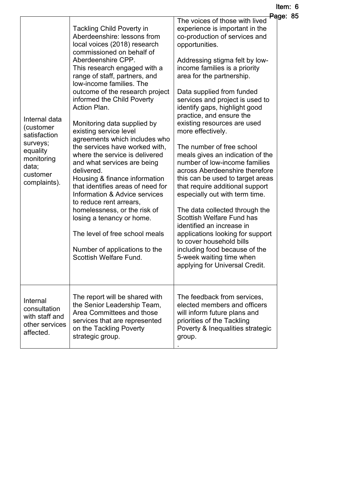| Internal data<br>(customer<br>satisfaction<br>surveys;<br>equality<br>monitoring<br>data;<br>customer<br>complaints). | <b>Tackling Child Poverty in</b><br>Aberdeenshire: lessons from<br>local voices (2018) research<br>commissioned on behalf of<br>Aberdeenshire CPP.<br>This research engaged with a<br>range of staff, partners, and<br>low-income families. The<br>outcome of the research project<br>informed the Child Poverty<br>Action Plan.<br>Monitoring data supplied by<br>existing service level<br>agreements which includes who<br>the services have worked with,<br>where the service is delivered<br>and what services are being<br>delivered.<br>Housing & finance information<br>that identifies areas of need for<br>Information & Advice services<br>to reduce rent arrears,<br>homelessness, or the risk of<br>losing a tenancy or home.<br>The level of free school meals<br>Number of applications to the<br>Scottish Welfare Fund. | - 49<br>The voices of those with lived<br>experience is important in the<br>co-production of services and<br>opportunities.<br>Addressing stigma felt by low-<br>income families is a priority<br>area for the partnership.<br>Data supplied from funded<br>services and project is used to<br>identify gaps, highlight good<br>practice, and ensure the<br>existing resources are used<br>more effectively.<br>The number of free school<br>meals gives an indication of the<br>number of low-income families<br>across Aberdeenshire therefore<br>this can be used to target areas<br>that require additional support<br>especially out with term time.<br>The data collected through the<br><b>Scottish Welfare Fund has</b><br>identified an increase in<br>applications looking for support<br>to cover household bills<br>including food because of the<br>5-week waiting time when<br>applying for Universal Credit. |  |
|-----------------------------------------------------------------------------------------------------------------------|-----------------------------------------------------------------------------------------------------------------------------------------------------------------------------------------------------------------------------------------------------------------------------------------------------------------------------------------------------------------------------------------------------------------------------------------------------------------------------------------------------------------------------------------------------------------------------------------------------------------------------------------------------------------------------------------------------------------------------------------------------------------------------------------------------------------------------------------|-----------------------------------------------------------------------------------------------------------------------------------------------------------------------------------------------------------------------------------------------------------------------------------------------------------------------------------------------------------------------------------------------------------------------------------------------------------------------------------------------------------------------------------------------------------------------------------------------------------------------------------------------------------------------------------------------------------------------------------------------------------------------------------------------------------------------------------------------------------------------------------------------------------------------------|--|
| Internal<br>consultation<br>with staff and<br>other services<br>affected.                                             | The report will be shared with<br>the Senior Leadership Team,<br>Area Committees and those<br>services that are represented<br>on the Tackling Poverty<br>strategic group.                                                                                                                                                                                                                                                                                                                                                                                                                                                                                                                                                                                                                                                              | The feedback from services,<br>elected members and officers<br>will inform future plans and<br>priorities of the Tackling<br>Poverty & Inequalities strategic<br>group.                                                                                                                                                                                                                                                                                                                                                                                                                                                                                                                                                                                                                                                                                                                                                     |  |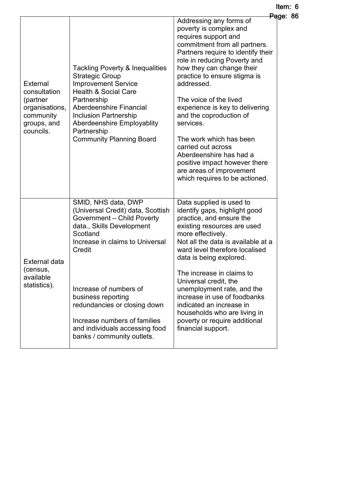|                                                                                                        |                                                                                                                                                                                                                                                                                                                                                                     |                                                                                                                                                                                                                                                                                                                                                                                                                                                                                                                                             | <del>Pa</del> ge: 86 |
|--------------------------------------------------------------------------------------------------------|---------------------------------------------------------------------------------------------------------------------------------------------------------------------------------------------------------------------------------------------------------------------------------------------------------------------------------------------------------------------|---------------------------------------------------------------------------------------------------------------------------------------------------------------------------------------------------------------------------------------------------------------------------------------------------------------------------------------------------------------------------------------------------------------------------------------------------------------------------------------------------------------------------------------------|----------------------|
| <b>External</b><br>consultation<br>(partner<br>organisations,<br>community<br>groups, and<br>councils. | <b>Tackling Poverty &amp; Inequalities</b><br><b>Strategic Group</b><br><b>Improvement Service</b><br><b>Health &amp; Social Care</b><br>Partnership<br>Aberdeenshire Financial<br><b>Inclusion Partnership</b><br><b>Aberdeenshire Employablity</b><br>Partnership<br><b>Community Planning Board</b>                                                              | Addressing any forms of<br>poverty is complex and<br>requires support and<br>commitment from all partners.<br>Partners require to identify their<br>role in reducing Poverty and<br>how they can change their<br>practice to ensure stigma is<br>addressed.<br>The voice of the lived<br>experience is key to delivering<br>and the coproduction of<br>services.<br>The work which has been<br>carried out across<br>Aberdeenshire has had a<br>positive impact however there<br>are areas of improvement<br>which requires to be actioned. |                      |
| <b>External data</b><br>(census,<br>available<br>statistics).                                          | SMID, NHS data, DWP<br>(Universal Credit) data, Scottish<br><b>Government - Child Poverty</b><br>data., Skills Development<br>Scotland<br>Increase in claims to Universal<br>Credit<br>Increase of numbers of<br>business reporting<br>redundancies or closing down<br>Increase numbers of families<br>and individuals accessing food<br>banks / community outlets. | Data supplied is used to<br>identify gaps, highlight good<br>practice, and ensure the<br>existing resources are used<br>more effectively.<br>Not all the data is available at a<br>ward level therefore localised<br>data is being explored.<br>The increase in claims to<br>Universal credit, the<br>unemployment rate, and the<br>increase in use of foodbanks<br>indicated an increase in<br>households who are living in<br>poverty or require additional<br>financial support.                                                         |                      |

Item: 6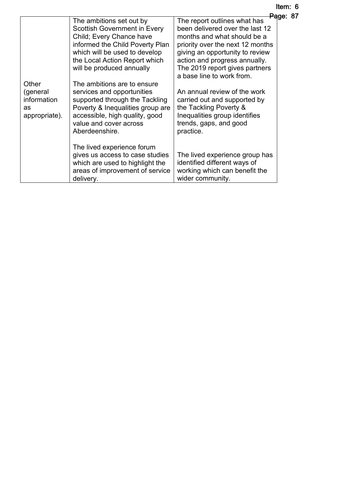| ltem: 6              |  |
|----------------------|--|
| <del>Pa</del> ge: 87 |  |

|               |                                     | <del>Pa</del> ge:                |
|---------------|-------------------------------------|----------------------------------|
|               | The ambitions set out by            | The report outlines what has     |
|               | <b>Scottish Government in Every</b> | been delivered over the last 12  |
|               | Child; Every Chance have            | months and what should be a      |
|               | informed the Child Poverty Plan     | priority over the next 12 months |
|               | which will be used to develop       | giving an opportunity to review  |
|               | the Local Action Report which       | action and progress annually.    |
|               | will be produced annually           | The 2019 report gives partners   |
|               |                                     | a base line to work from.        |
| Other         | The ambitions are to ensure         |                                  |
| (general      | services and opportunities          | An annual review of the work     |
| information   | supported through the Tackling      | carried out and supported by     |
| as            | Poverty & Inequalities group are    | the Tackling Poverty &           |
| appropriate). | accessible, high quality, good      | Inequalities group identifies    |
|               | value and cover across              | trends, gaps, and good           |
|               | Aberdeenshire.                      | practice.                        |
|               |                                     |                                  |
|               | The lived experience forum          |                                  |
|               | gives us access to case studies     | The lived experience group has   |
|               | which are used to highlight the     | identified different ways of     |
|               | areas of improvement of service     | working which can benefit the    |
|               | delivery.                           | wider community.                 |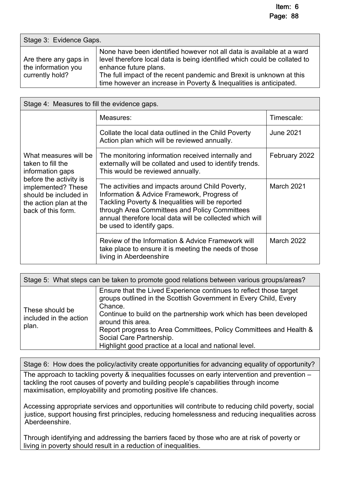| Stage 3: Evidence Gaps.                                         |                                                                                                                                                                                                                                                                                                                           |  |
|-----------------------------------------------------------------|---------------------------------------------------------------------------------------------------------------------------------------------------------------------------------------------------------------------------------------------------------------------------------------------------------------------------|--|
| Are there any gaps in<br>the information you<br>currently hold? | None have been identified however not all data is available at a ward<br>level therefore local data is being identified which could be collated to<br>enhance future plans.<br>The full impact of the recent pandemic and Brexit is unknown at this<br>time however an increase in Poverty & Inequalities is anticipated. |  |

| Stage 4: Measures to fill the evidence gaps.                                                                                                                                            |                                                                                                                                                                                                                                                                                               |                  |  |
|-----------------------------------------------------------------------------------------------------------------------------------------------------------------------------------------|-----------------------------------------------------------------------------------------------------------------------------------------------------------------------------------------------------------------------------------------------------------------------------------------------|------------------|--|
| What measures will be<br>taken to fill the<br>information gaps<br>before the activity is<br>implemented? These<br>should be included in<br>the action plan at the<br>back of this form. | Measures:                                                                                                                                                                                                                                                                                     | Timescale:       |  |
|                                                                                                                                                                                         | Collate the local data outlined in the Child Poverty<br>Action plan which will be reviewed annually.                                                                                                                                                                                          | <b>June 2021</b> |  |
|                                                                                                                                                                                         | The monitoring information received internally and<br>externally will be collated and used to identify trends.<br>This would be reviewed annually.                                                                                                                                            | February 2022    |  |
|                                                                                                                                                                                         | The activities and impacts around Child Poverty,<br>Information & Advice Framework, Progress of<br>Tackling Poverty & Inequalities will be reported<br>through Area Committees and Policy Committees<br>annual therefore local data will be collected which will<br>be used to identify gaps. | March 2021       |  |
|                                                                                                                                                                                         | Review of the Information & Advice Framework will<br>take place to ensure it is meeting the needs of those<br>living in Aberdeenshire                                                                                                                                                         | March 2022       |  |

| Stage 5: What steps can be taken to promote good relations between various groups/areas? |                                                                                                                                                                                                                                                                                                                                                                                                          |  |  |
|------------------------------------------------------------------------------------------|----------------------------------------------------------------------------------------------------------------------------------------------------------------------------------------------------------------------------------------------------------------------------------------------------------------------------------------------------------------------------------------------------------|--|--|
| These should be<br>included in the action<br>plan.                                       | Ensure that the Lived Experience continues to reflect those target<br>groups outlined in the Scottish Government in Every Child, Every<br>Chance.<br>Continue to build on the partnership work which has been developed<br>around this area.<br>Report progress to Area Committees, Policy Committees and Health &<br>Social Care Partnership.<br>Highlight good practice at a local and national level. |  |  |

Stage 6: How does the policy/activity create opportunities for advancing equality of opportunity?

The approach to tackling poverty & inequalities focusses on early intervention and prevention – tackling the root causes of poverty and building people's capabilities through income maximisation, employability and promoting positive life chances.

Accessing appropriate services and opportunities will contribute to reducing child poverty, social justice, support housing first principles, reducing homelessness and reducing inequalities across Aberdeenshire.

Through identifying and addressing the barriers faced by those who are at risk of poverty or living in poverty should result in a reduction of inequalities.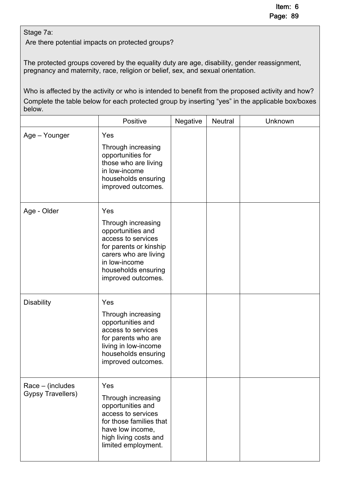# Stage 7a:

Are there potential impacts on protected groups?

The protected groups covered by the equality duty are age, disability, gender reassignment, pregnancy and maternity, race, religion or belief, sex, and sexual orientation.

Who is affected by the activity or who is intended to benefit from the proposed activity and how? Complete the table below for each protected group by inserting "yes" in the applicable box/boxes below.

|                                                 | Positive<br>Negative<br><b>Neutral</b>                                                                                                                                                |  | Unknown |  |
|-------------------------------------------------|---------------------------------------------------------------------------------------------------------------------------------------------------------------------------------------|--|---------|--|
| Age - Younger                                   | Yes<br>Through increasing<br>opportunities for<br>those who are living<br>in low-income<br>households ensuring<br>improved outcomes.                                                  |  |         |  |
| Age - Older                                     | Yes<br>Through increasing<br>opportunities and<br>access to services<br>for parents or kinship<br>carers who are living<br>in low-income<br>households ensuring<br>improved outcomes. |  |         |  |
| <b>Disability</b>                               | Yes<br>Through increasing<br>opportunities and<br>access to services<br>for parents who are<br>living in low-income<br>households ensuring<br>improved outcomes.                      |  |         |  |
| $Race - (includes)$<br><b>Gypsy Travellers)</b> | Yes<br>Through increasing<br>opportunities and<br>access to services<br>for those families that<br>have low income,<br>high living costs and<br>limited employment.                   |  |         |  |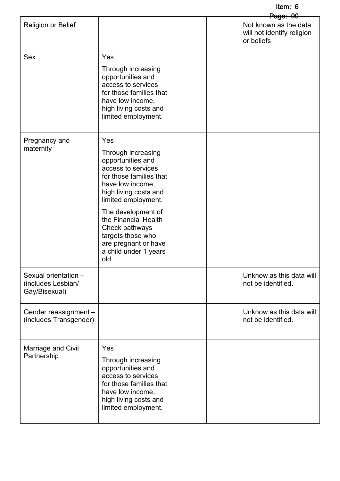Item: 6

|                                                             |                                                                                                                                                                                                                                                                                                                   |  | <del>Page: 90</del>                                               |
|-------------------------------------------------------------|-------------------------------------------------------------------------------------------------------------------------------------------------------------------------------------------------------------------------------------------------------------------------------------------------------------------|--|-------------------------------------------------------------------|
| <b>Religion or Belief</b>                                   |                                                                                                                                                                                                                                                                                                                   |  | Not known as the data<br>will not identify religion<br>or beliefs |
| <b>Sex</b>                                                  | Yes<br>Through increasing<br>opportunities and<br>access to services<br>for those families that<br>have low income,<br>high living costs and<br>limited employment.                                                                                                                                               |  |                                                                   |
| Pregnancy and<br>maternity                                  | Yes<br>Through increasing<br>opportunities and<br>access to services<br>for those families that<br>have low income,<br>high living costs and<br>limited employment.<br>The development of<br>the Financial Health<br>Check pathways<br>targets those who<br>are pregnant or have<br>a child under 1 years<br>old. |  |                                                                   |
| Sexual orientation -<br>(includes Lesbian/<br>Gay/Bisexual) |                                                                                                                                                                                                                                                                                                                   |  | Unknow as this data will<br>not be identified.                    |
| Gender reassignment -<br>(includes Transgender)             |                                                                                                                                                                                                                                                                                                                   |  | Unknow as this data will<br>not be identified.                    |
| Marriage and Civil<br>Partnership                           | Yes<br>Through increasing<br>opportunities and<br>access to services<br>for those families that<br>have low income,<br>high living costs and<br>limited employment.                                                                                                                                               |  |                                                                   |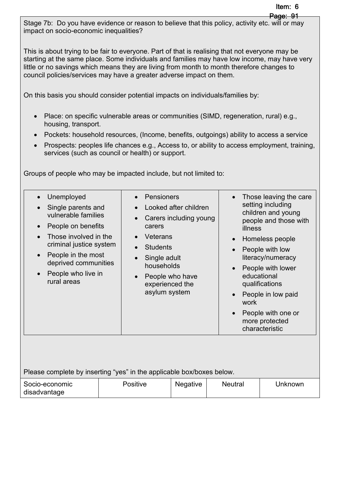Stage 7b: Do you have evidence or reason to believe that this policy, activity etc. will or may impact on socio-economic inequalities?

This is about trying to be fair to everyone. Part of that is realising that not everyone may be starting at the same place. Some individuals and families may have low income, may have very little or no savings which means they are living from month to month therefore changes to council policies/services may have a greater adverse impact on them.

On this basis you should consider potential impacts on individuals/families by:

- Place: on specific vulnerable areas or communities (SIMD, regeneration, rural) e.g., housing, transport.
- Pockets: household resources, (Income, benefits, outgoings) ability to access a service
- Prospects: peoples life chances e.g., Access to, or ability to access employment, training, services (such as council or health) or support.

Groups of people who may be impacted include, but not limited to:

- Unemployed
- Single parents and vulnerable families
- People on benefits
- Those involved in the criminal justice system
- People in the most deprived communities
- People who live in rural areas
- Pensioners
- Looked after children
- Carers including young carers
- Veterans
- **Students**
- Single adult households
- People who have experienced the asylum system
- Those leaving the care setting including children and young people and those with illness
- Homeless people
- People with low literacy/numeracy
- People with lower educational qualifications
- People in low paid work
- People with one or more protected characteristic

Please complete by inserting "yes" in the applicable box/boxes below.

| Socio-economic | Positive | <b>Negative</b> | <b>Neutral</b> | Unknown |
|----------------|----------|-----------------|----------------|---------|
| disadvantage   |          |                 |                |         |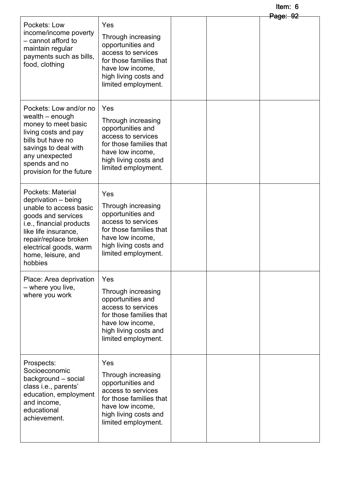#### Item: 6  $P<sub>2</sub>$  $P<sub>2</sub>$  $P<sub>2</sub>$

|                                                                                                                                                                                                                                  |                                                                                                                                                                     |  | <del>rage: שב</del> |
|----------------------------------------------------------------------------------------------------------------------------------------------------------------------------------------------------------------------------------|---------------------------------------------------------------------------------------------------------------------------------------------------------------------|--|---------------------|
| Pockets: Low<br>income/income poverty<br>- cannot afford to<br>maintain regular<br>payments such as bills,<br>food, clothing                                                                                                     | Yes<br>Through increasing<br>opportunities and<br>access to services<br>for those families that<br>have low income,<br>high living costs and<br>limited employment. |  |                     |
| Pockets: Low and/or no<br>wealth – enough<br>money to meet basic<br>living costs and pay<br>bills but have no<br>savings to deal with<br>any unexpected<br>spends and no<br>provision for the future                             | Yes<br>Through increasing<br>opportunities and<br>access to services<br>for those families that<br>have low income,<br>high living costs and<br>limited employment. |  |                     |
| Pockets: Material<br>deprivation - being<br>unable to access basic<br>goods and services<br>i.e., financial products<br>like life insurance,<br>repair/replace broken<br>electrical goods, warm<br>home, leisure, and<br>hobbies | Yes<br>Through increasing<br>opportunities and<br>access to services<br>for those families that<br>have low income,<br>high living costs and<br>limited employment. |  |                     |
| Place: Area deprivation<br>- where you live,<br>where you work                                                                                                                                                                   | Yes<br>Through increasing<br>opportunities and<br>access to services<br>for those families that<br>have low income,<br>high living costs and<br>limited employment. |  |                     |
| Prospects:<br>Socioeconomic<br>background - social<br>class i.e., parents'<br>education, employment<br>and income,<br>educational<br>achievement.                                                                                | Yes<br>Through increasing<br>opportunities and<br>access to services<br>for those families that<br>have low income,<br>high living costs and<br>limited employment. |  |                     |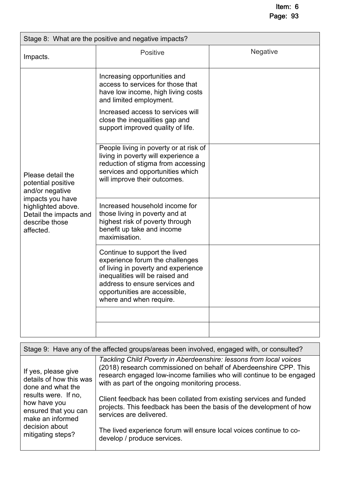| Stage 8: What are the positive and negative impacts?                                                                                                          |                                                                                                                                                                                                                                                |                 |  |
|---------------------------------------------------------------------------------------------------------------------------------------------------------------|------------------------------------------------------------------------------------------------------------------------------------------------------------------------------------------------------------------------------------------------|-----------------|--|
| Impacts.                                                                                                                                                      | <b>Positive</b>                                                                                                                                                                                                                                | <b>Negative</b> |  |
| Please detail the<br>potential positive<br>and/or negative<br>impacts you have<br>highlighted above.<br>Detail the impacts and<br>describe those<br>affected. | Increasing opportunities and<br>access to services for those that<br>have low income, high living costs<br>and limited employment.<br>Increased access to services will<br>close the inequalities gap and<br>support improved quality of life. |                 |  |
|                                                                                                                                                               | People living in poverty or at risk of<br>living in poverty will experience a<br>reduction of stigma from accessing<br>services and opportunities which<br>will improve their outcomes.                                                        |                 |  |
|                                                                                                                                                               | Increased household income for<br>those living in poverty and at<br>highest risk of poverty through<br>benefit up take and income<br>maximisation.                                                                                             |                 |  |
|                                                                                                                                                               | Continue to support the lived<br>experience forum the challenges<br>of living in poverty and experience<br>inequalities will be raised and<br>address to ensure services and<br>opportunities are accessible,<br>where and when require.       |                 |  |
|                                                                                                                                                               |                                                                                                                                                                                                                                                |                 |  |
|                                                                                                                                                               |                                                                                                                                                                                                                                                |                 |  |

| Stage 9: Have any of the affected groups/areas been involved, engaged with, or consulted?                                                                                                      |                                                                                                                                                                                                                                                                    |  |  |
|------------------------------------------------------------------------------------------------------------------------------------------------------------------------------------------------|--------------------------------------------------------------------------------------------------------------------------------------------------------------------------------------------------------------------------------------------------------------------|--|--|
| If yes, please give<br>details of how this was<br>done and what the<br>results were. If no,<br>how have you<br>ensured that you can<br>make an informed<br>decision about<br>mitigating steps? | Tackling Child Poverty in Aberdeenshire: lessons from local voices<br>(2018) research commissioned on behalf of Aberdeenshire CPP. This<br>research engaged low-income families who will continue to be engaged<br>with as part of the ongoing monitoring process. |  |  |
|                                                                                                                                                                                                | Client feedback has been collated from existing services and funded<br>projects. This feedback has been the basis of the development of how<br>services are delivered.                                                                                             |  |  |
|                                                                                                                                                                                                | The lived experience forum will ensure local voices continue to co-<br>develop / produce services.                                                                                                                                                                 |  |  |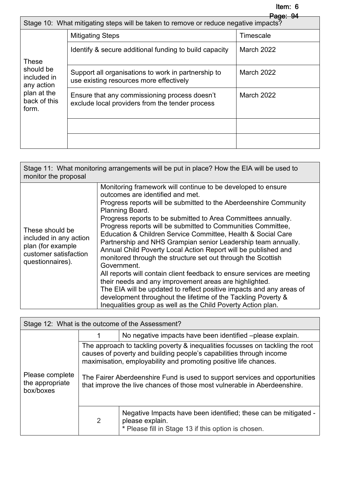| <del>Page: 94</del><br>Stage 10: What mitigating steps will be taken to remove or reduce negative impacts? |                                                                                                  |                   |  |
|------------------------------------------------------------------------------------------------------------|--------------------------------------------------------------------------------------------------|-------------------|--|
| <b>These</b><br>should be<br>included in<br>any action<br>plan at the<br>back of this<br>form.             | <b>Mitigating Steps</b>                                                                          | Timescale         |  |
|                                                                                                            | Identify & secure additional funding to build capacity                                           | March 2022        |  |
|                                                                                                            | Support all organisations to work in partnership to<br>use existing resources more effectively   | March 2022        |  |
|                                                                                                            | Ensure that any commissioning process doesn't<br>exclude local providers from the tender process | <b>March 2022</b> |  |
|                                                                                                            |                                                                                                  |                   |  |
|                                                                                                            |                                                                                                  |                   |  |

| Stage 11: What monitoring arrangements will be put in place? How the EIA will be used to<br>monitor the proposal |                                                                                                                                                                                                                                                                                                                                                                                                                                                                                                                                                                                                                                                                                                                                                                                                                                                                                                                                                           |  |  |
|------------------------------------------------------------------------------------------------------------------|-----------------------------------------------------------------------------------------------------------------------------------------------------------------------------------------------------------------------------------------------------------------------------------------------------------------------------------------------------------------------------------------------------------------------------------------------------------------------------------------------------------------------------------------------------------------------------------------------------------------------------------------------------------------------------------------------------------------------------------------------------------------------------------------------------------------------------------------------------------------------------------------------------------------------------------------------------------|--|--|
| These should be<br>included in any action<br>plan (for example<br>customer satisfaction<br>questionnaires).      | Monitoring framework will continue to be developed to ensure<br>outcomes are identified and met.<br>Progress reports will be submitted to the Aberdeenshire Community<br>Planning Board.<br>Progress reports to be submitted to Area Committees annually.<br>Progress reports will be submitted to Communities Committee,<br>Education & Children Service Committee, Health & Social Care<br>Partnership and NHS Grampian senior Leadership team annually.<br>Annual Child Poverty Local Action Report will be published and<br>monitored through the structure set out through the Scottish<br>Government.<br>All reports will contain client feedback to ensure services are meeting<br>their needs and any improvement areas are highlighted.<br>The EIA will be updated to reflect positive impacts and any areas of<br>development throughout the lifetime of the Tackling Poverty &<br>Inequalities group as well as the Child Poverty Action plan. |  |  |

| Stage 12: What is the outcome of the Assessment? |   |                                                                                                                                                                                                                                                                                                                                                                                     |  |
|--------------------------------------------------|---|-------------------------------------------------------------------------------------------------------------------------------------------------------------------------------------------------------------------------------------------------------------------------------------------------------------------------------------------------------------------------------------|--|
|                                                  |   | No negative impacts have been identified -please explain.                                                                                                                                                                                                                                                                                                                           |  |
| Please complete<br>the appropriate<br>box/boxes  |   | The approach to tackling poverty & inequalities focusses on tackling the root<br>causes of poverty and building people's capabilities through income<br>maximisation, employability and promoting positive life chances.<br>The Fairer Aberdeenshire Fund is used to support services and opportunities<br>that improve the live chances of those most vulnerable in Aberdeenshire. |  |
|                                                  | 2 | Negative Impacts have been identified; these can be mitigated -<br>please explain.<br>* Please fill in Stage 13 if this option is chosen.                                                                                                                                                                                                                                           |  |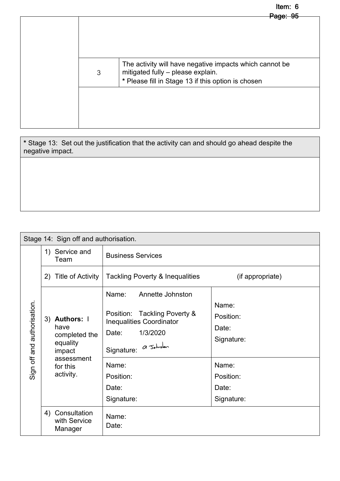# Item: 6

|   | <u> Page: 95</u>                                                                                                                                   |
|---|----------------------------------------------------------------------------------------------------------------------------------------------------|
|   |                                                                                                                                                    |
| 3 | The activity will have negative impacts which cannot be<br>mitigated fully - please explain.<br>* Please fill in Stage 13 if this option is chosen |
|   |                                                                                                                                                    |

**\*** Stage 13: Set out the justification that the activity can and should go ahead despite the negative impact.

| Stage 14: Sign off and authorisation. |                                                                                                                        |                                                                                                                                                                                                     |                                                                                        |
|---------------------------------------|------------------------------------------------------------------------------------------------------------------------|-----------------------------------------------------------------------------------------------------------------------------------------------------------------------------------------------------|----------------------------------------------------------------------------------------|
|                                       | 1) Service and<br>Team                                                                                                 | <b>Business Services</b>                                                                                                                                                                            |                                                                                        |
|                                       | Title of Activity<br>2)                                                                                                | Tackling Poverty & Inequalities                                                                                                                                                                     | (if appropriate)                                                                       |
| and authorisation.<br>Sign off        | 3) Authors: I<br>have<br>completed the<br>equality<br>impact<br>assessment<br>for this<br>activity.<br>4) Consultation | Name:<br>Annette Johnston<br>Tackling Poverty &<br>Position:<br><b>Inequalities Coordinator</b><br>1/3/2020<br>Date:<br>Signature: a Johnslan<br>Name:<br>Position:<br>Date:<br>Signature:<br>Name: | Name:<br>Position:<br>Date:<br>Signature:<br>Name:<br>Position:<br>Date:<br>Signature: |
|                                       | with Service<br>Manager                                                                                                | Date:                                                                                                                                                                                               |                                                                                        |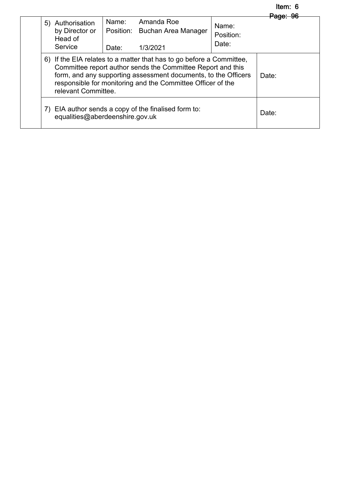#### Item: 6 Page: 96

| 5) Authorisation<br>by Director or<br>Head of<br>Service | Name:<br>Date:                                                                                                                                                                                                                                                                              | Amanda Roe<br>Position: Buchan Area Manager<br>1/3/2021 | Name:<br>Position:<br>Date: | <del>raae:</del><br>-96 |
|----------------------------------------------------------|---------------------------------------------------------------------------------------------------------------------------------------------------------------------------------------------------------------------------------------------------------------------------------------------|---------------------------------------------------------|-----------------------------|-------------------------|
|                                                          | 6) If the EIA relates to a matter that has to go before a Committee,<br>Committee report author sends the Committee Report and this<br>form, and any supporting assessment documents, to the Officers<br>responsible for monitoring and the Committee Officer of the<br>relevant Committee. |                                                         |                             | Date:                   |
| equalities@aberdeenshire.gov.uk                          |                                                                                                                                                                                                                                                                                             | 7) EIA author sends a copy of the finalised form to:    |                             | Date:                   |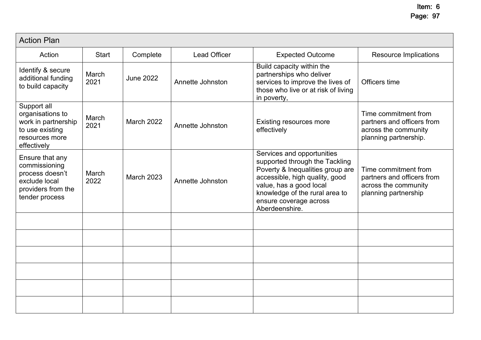| <b>Action Plan</b>                                                                                           |               |                   |                     |                                                                                                                                                                                                                                             |                                                                                                     |
|--------------------------------------------------------------------------------------------------------------|---------------|-------------------|---------------------|---------------------------------------------------------------------------------------------------------------------------------------------------------------------------------------------------------------------------------------------|-----------------------------------------------------------------------------------------------------|
| Action                                                                                                       | <b>Start</b>  | Complete          | <b>Lead Officer</b> | <b>Expected Outcome</b>                                                                                                                                                                                                                     | <b>Resource Implications</b>                                                                        |
| Identify & secure<br>additional funding<br>to build capacity                                                 | March<br>2021 | <b>June 2022</b>  | Annette Johnston    | Build capacity within the<br>partnerships who deliver<br>services to improve the lives of<br>those who live or at risk of living<br>in poverty,                                                                                             | Officers time                                                                                       |
| Support all<br>organisations to<br>work in partnership<br>to use existing<br>resources more<br>effectively   | March<br>2021 | <b>March 2022</b> | Annette Johnston    | <b>Existing resources more</b><br>effectively                                                                                                                                                                                               | Time commitment from<br>partners and officers from<br>across the community<br>planning partnership. |
| Ensure that any<br>commissioning<br>process doesn't<br>exclude local<br>providers from the<br>tender process | March<br>2022 | <b>March 2023</b> | Annette Johnston    | Services and opportunities<br>supported through the Tackling<br>Poverty & Inequalities group are<br>accessible, high quality, good<br>value, has a good local<br>knowledge of the rural area to<br>ensure coverage across<br>Aberdeenshire. | Time commitment from<br>partners and officers from<br>across the community<br>planning partnership  |
|                                                                                                              |               |                   |                     |                                                                                                                                                                                                                                             |                                                                                                     |
|                                                                                                              |               |                   |                     |                                                                                                                                                                                                                                             |                                                                                                     |
|                                                                                                              |               |                   |                     |                                                                                                                                                                                                                                             |                                                                                                     |
|                                                                                                              |               |                   |                     |                                                                                                                                                                                                                                             |                                                                                                     |
|                                                                                                              |               |                   |                     |                                                                                                                                                                                                                                             |                                                                                                     |
|                                                                                                              |               |                   |                     |                                                                                                                                                                                                                                             |                                                                                                     |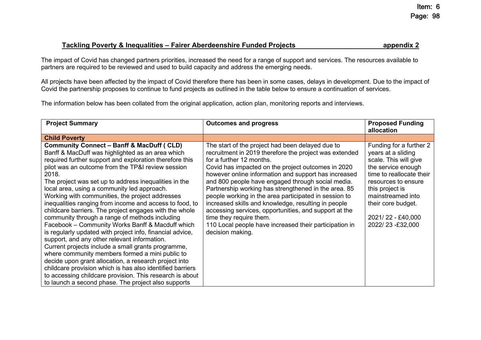#### **Tackling Poverty & Inequalities – Fairer Aberdeenshire Funded Projects appendix 2**

The impact of Covid has changed partners priorities, increased the need for a range of support and services. The resources available to partners are required to be reviewed and used to build capacity and address the emerging needs.

All projects have been affected by the impact of Covid therefore there has been in some cases, delays in development. Due to the impact of Covid the partnership proposes to continue to fund projects as outlined in the table below to ensure a continuation of services.

The information below has been collated from the original application, action plan, monitoring reports and interviews.

| <b>Project Summary</b>                                                                                                                                                                                                                                                                                                                                                                                                                                                                                                                                                                                                                                                                                                                                                                                                                                                                                                                                                                                                                                                                  | <b>Outcomes and progress</b>                                                                                                                                                                                                                                                                                                                                                                                                                                                                                                                                                                                                                        | <b>Proposed Funding</b><br>allocation                                                                                                                                                                                                                 |
|-----------------------------------------------------------------------------------------------------------------------------------------------------------------------------------------------------------------------------------------------------------------------------------------------------------------------------------------------------------------------------------------------------------------------------------------------------------------------------------------------------------------------------------------------------------------------------------------------------------------------------------------------------------------------------------------------------------------------------------------------------------------------------------------------------------------------------------------------------------------------------------------------------------------------------------------------------------------------------------------------------------------------------------------------------------------------------------------|-----------------------------------------------------------------------------------------------------------------------------------------------------------------------------------------------------------------------------------------------------------------------------------------------------------------------------------------------------------------------------------------------------------------------------------------------------------------------------------------------------------------------------------------------------------------------------------------------------------------------------------------------------|-------------------------------------------------------------------------------------------------------------------------------------------------------------------------------------------------------------------------------------------------------|
| <b>Child Poverty</b>                                                                                                                                                                                                                                                                                                                                                                                                                                                                                                                                                                                                                                                                                                                                                                                                                                                                                                                                                                                                                                                                    |                                                                                                                                                                                                                                                                                                                                                                                                                                                                                                                                                                                                                                                     |                                                                                                                                                                                                                                                       |
| <b>Community Connect - Banff &amp; MacDuff ( CLD)</b><br>Banff & MacDuff was highlighted as an area which<br>required further support and exploration therefore this<br>pilot was an outcome from the TP&I review session<br>2018.<br>The project was set up to address inequalities in the<br>local area, using a community led approach.<br>Working with communities, the project addresses<br>inequalities ranging from income and access to food, to<br>childcare barriers. The project engages with the whole<br>community through a range of methods including<br>Facebook – Community Works Banff & Macduff which<br>is regularly updated with project info, financial advice,<br>support, and any other relevant information.<br>Current projects include a small grants programme,<br>where community members formed a mini public to<br>decide upon grant allocation, a research project into<br>childcare provision which is has also identified barriers<br>to accessing childcare provision. This research is about<br>to launch a second phase. The project also supports | The start of the project had been delayed due to<br>recruitment in 2019 therefore the project was extended<br>for a further 12 months.<br>Covid has impacted on the project outcomes in 2020<br>however online information and support has increased<br>and 800 people have engaged through social media.<br>Partnership working has strengthened in the area. 85<br>people working in the area participated in session to<br>increased skills and knowledge, resulting in people<br>accessing services, opportunities, and support at the<br>time they require them.<br>110 Local people have increased their participation in<br>decision making. | Funding for a further 2<br>years at a sliding<br>scale. This will give<br>the service enough<br>time to reallocate their<br>resources to ensure<br>this project is<br>mainstreamed into<br>their core budget.<br>2021/22 - £40,000<br>2022/23-£32,000 |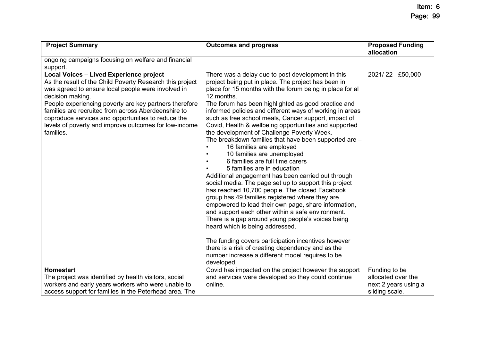| <b>Project Summary</b>                                                                                                                                                                                                                                                                                                                                                                                                     | <b>Outcomes and progress</b>                                                                                                                                                                                                                                                                                                                                                                                                                                                                                                                                                                                                                                                                                                                                                                                                                                                                                                                                                                                                                                                                                                                                                                                                                                                                            | <b>Proposed Funding</b><br>allocation |
|----------------------------------------------------------------------------------------------------------------------------------------------------------------------------------------------------------------------------------------------------------------------------------------------------------------------------------------------------------------------------------------------------------------------------|---------------------------------------------------------------------------------------------------------------------------------------------------------------------------------------------------------------------------------------------------------------------------------------------------------------------------------------------------------------------------------------------------------------------------------------------------------------------------------------------------------------------------------------------------------------------------------------------------------------------------------------------------------------------------------------------------------------------------------------------------------------------------------------------------------------------------------------------------------------------------------------------------------------------------------------------------------------------------------------------------------------------------------------------------------------------------------------------------------------------------------------------------------------------------------------------------------------------------------------------------------------------------------------------------------|---------------------------------------|
| ongoing campaigns focusing on welfare and financial<br>support.                                                                                                                                                                                                                                                                                                                                                            |                                                                                                                                                                                                                                                                                                                                                                                                                                                                                                                                                                                                                                                                                                                                                                                                                                                                                                                                                                                                                                                                                                                                                                                                                                                                                                         |                                       |
| Local Voices - Lived Experience project<br>As the result of the Child Poverty Research this project<br>was agreed to ensure local people were involved in<br>decision making.<br>People experiencing poverty are key partners therefore<br>families are recruited from across Aberdeenshire to<br>coproduce services and opportunities to reduce the<br>levels of poverty and improve outcomes for low-income<br>families. | There was a delay due to post development in this<br>project being put in place. The project has been in<br>place for 15 months with the forum being in place for al<br>12 months.<br>The forum has been highlighted as good practice and<br>informed policies and different ways of working in areas<br>such as free school meals, Cancer support, impact of<br>Covid, Health & wellbeing opportunities and supported<br>the development of Challenge Poverty Week.<br>The breakdown families that have been supported are -<br>16 families are employed<br>$\bullet$<br>10 families are unemployed<br>$\bullet$<br>6 families are full time carers<br>$\bullet$<br>5 families are in education<br>Additional engagement has been carried out through<br>social media. The page set up to support this project<br>has reached 10,700 people. The closed Facebook<br>group has 49 families registered where they are<br>empowered to lead their own page, share information,<br>and support each other within a safe environment.<br>There is a gap around young people's voices being<br>heard which is being addressed.<br>The funding covers participation incentives however<br>there is a risk of creating dependency and as the<br>number increase a different model requires to be<br>developed. | 2021/22 - £50,000                     |
| <b>Homestart</b>                                                                                                                                                                                                                                                                                                                                                                                                           | Covid has impacted on the project however the support                                                                                                                                                                                                                                                                                                                                                                                                                                                                                                                                                                                                                                                                                                                                                                                                                                                                                                                                                                                                                                                                                                                                                                                                                                                   | Funding to be                         |
| The project was identified by health visitors, social                                                                                                                                                                                                                                                                                                                                                                      | and services were developed so they could continue                                                                                                                                                                                                                                                                                                                                                                                                                                                                                                                                                                                                                                                                                                                                                                                                                                                                                                                                                                                                                                                                                                                                                                                                                                                      | allocated over the                    |
| workers and early years workers who were unable to                                                                                                                                                                                                                                                                                                                                                                         | online.                                                                                                                                                                                                                                                                                                                                                                                                                                                                                                                                                                                                                                                                                                                                                                                                                                                                                                                                                                                                                                                                                                                                                                                                                                                                                                 | next 2 years using a                  |
| access support for families in the Peterhead area. The                                                                                                                                                                                                                                                                                                                                                                     |                                                                                                                                                                                                                                                                                                                                                                                                                                                                                                                                                                                                                                                                                                                                                                                                                                                                                                                                                                                                                                                                                                                                                                                                                                                                                                         | sliding scale.                        |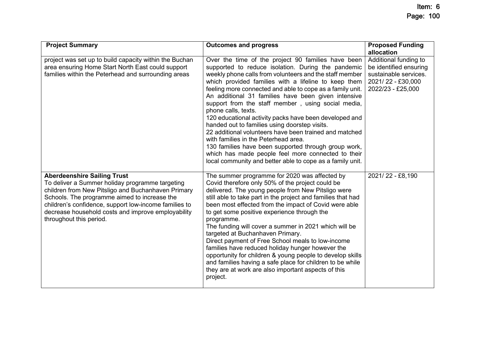| <b>Project Summary</b>                                                                                                                                                                                                                                                                                                                | <b>Outcomes and progress</b>                                                                                                                                                                                                                                                                                                                                                                                                                                                                                                                                                                                                                                                                                                                                                                                         | <b>Proposed Funding</b><br>allocation                                                                              |
|---------------------------------------------------------------------------------------------------------------------------------------------------------------------------------------------------------------------------------------------------------------------------------------------------------------------------------------|----------------------------------------------------------------------------------------------------------------------------------------------------------------------------------------------------------------------------------------------------------------------------------------------------------------------------------------------------------------------------------------------------------------------------------------------------------------------------------------------------------------------------------------------------------------------------------------------------------------------------------------------------------------------------------------------------------------------------------------------------------------------------------------------------------------------|--------------------------------------------------------------------------------------------------------------------|
| project was set up to build capacity within the Buchan<br>area ensuring Home Start North East could support<br>families within the Peterhead and surrounding areas                                                                                                                                                                    | Over the time of the project 90 families have been<br>supported to reduce isolation. During the pandemic<br>weekly phone calls from volunteers and the staff member<br>which provided families with a lifeline to keep them<br>feeling more connected and able to cope as a family unit.<br>An additional 31 families have been given intensive<br>support from the staff member, using social media,<br>phone calls, texts.<br>120 educational activity packs have been developed and<br>handed out to families using doorstep visits.<br>22 additional volunteers have been trained and matched<br>with families in the Peterhead area.<br>130 families have been supported through group work,<br>which has made people feel more connected to their<br>local community and better able to cope as a family unit. | Additional funding to<br>be identified ensuring<br>sustainable services.<br>2021/22 - £30,000<br>2022/23 - £25,000 |
| <b>Aberdeenshire Sailing Trust</b><br>To deliver a Summer holiday programme targeting<br>children from New Pitsligo and Buchanhaven Primary<br>Schools. The programme aimed to increase the<br>children's confidence, support low-income families to<br>decrease household costs and improve employability<br>throughout this period. | The summer programme for 2020 was affected by<br>Covid therefore only 50% of the project could be<br>delivered. The young people from New Pitsligo were<br>still able to take part in the project and families that had<br>been most effected from the impact of Covid were able<br>to get some positive experience through the<br>programme.<br>The funding will cover a summer in 2021 which will be<br>targeted at Buchanhaven Primary.<br>Direct payment of Free School meals to low-income<br>families have reduced holiday hunger however the<br>opportunity for children & young people to develop skills<br>and families having a safe place for children to be while<br>they are at work are also important aspects of this<br>project.                                                                     | 2021/22 - £8,190                                                                                                   |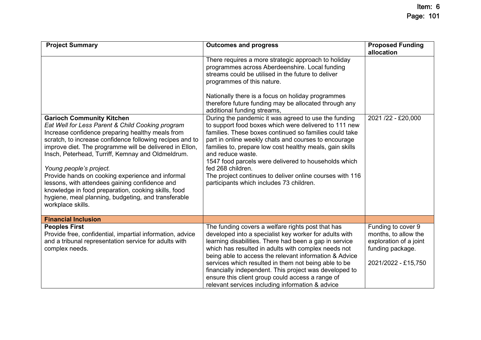| <b>Project Summary</b>                                                                                                                                                                                                                                                                                                                                                                                                                                                                                                                                                                   | <b>Outcomes and progress</b>                                                                                                                                                                                                                                                                                                                                                                                                                                                                                                                                                                                                                                                                                                                                                                                                                    | <b>Proposed Funding</b><br>allocation                                                                           |
|------------------------------------------------------------------------------------------------------------------------------------------------------------------------------------------------------------------------------------------------------------------------------------------------------------------------------------------------------------------------------------------------------------------------------------------------------------------------------------------------------------------------------------------------------------------------------------------|-------------------------------------------------------------------------------------------------------------------------------------------------------------------------------------------------------------------------------------------------------------------------------------------------------------------------------------------------------------------------------------------------------------------------------------------------------------------------------------------------------------------------------------------------------------------------------------------------------------------------------------------------------------------------------------------------------------------------------------------------------------------------------------------------------------------------------------------------|-----------------------------------------------------------------------------------------------------------------|
| <b>Garioch Community Kitchen</b><br>Eat Well for Less Parent & Child Cooking program<br>Increase confidence preparing healthy meals from<br>scratch, to increase confidence following recipes and to<br>improve diet. The programme will be delivered in Ellon,<br>Insch, Peterhead, Turriff, Kemnay and Oldmeldrum.<br>Young people's project.<br>Provide hands on cooking experience and informal<br>lessons, with attendees gaining confidence and<br>knowledge in food preparation, cooking skills, food<br>hygiene, meal planning, budgeting, and transferable<br>workplace skills. | There requires a more strategic approach to holiday<br>programmes across Aberdeenshire. Local funding<br>streams could be utilised in the future to deliver<br>programmes of this nature.<br>Nationally there is a focus on holiday programmes<br>therefore future funding may be allocated through any<br>additional funding streams,<br>During the pandemic it was agreed to use the funding<br>to support food boxes which were delivered to 111 new<br>families. These boxes continued so families could take<br>part in online weekly chats and courses to encourage<br>families to, prepare low cost healthy meals, gain skills<br>and reduce waste.<br>1547 food parcels were delivered to households which<br>fed 268 children.<br>The project continues to deliver online courses with 116<br>participants which includes 73 children. | 2021 /22 - £20,000                                                                                              |
| <b>Financial Inclusion</b>                                                                                                                                                                                                                                                                                                                                                                                                                                                                                                                                                               |                                                                                                                                                                                                                                                                                                                                                                                                                                                                                                                                                                                                                                                                                                                                                                                                                                                 |                                                                                                                 |
| <b>Peoples First</b><br>Provide free, confidential, impartial information, advice<br>and a tribunal representation service for adults with<br>complex needs.                                                                                                                                                                                                                                                                                                                                                                                                                             | The funding covers a welfare rights post that has<br>developed into a specialist key worker for adults with<br>learning disabilities. There had been a gap in service<br>which has resulted in adults with complex needs not<br>being able to access the relevant information & Advice<br>services which resulted in them not being able to be<br>financially independent. This project was developed to<br>ensure this client group could access a range of<br>relevant services including information & advice                                                                                                                                                                                                                                                                                                                                | Funding to cover 9<br>months, to allow the<br>exploration of a joint<br>funding package.<br>2021/2022 - £15,750 |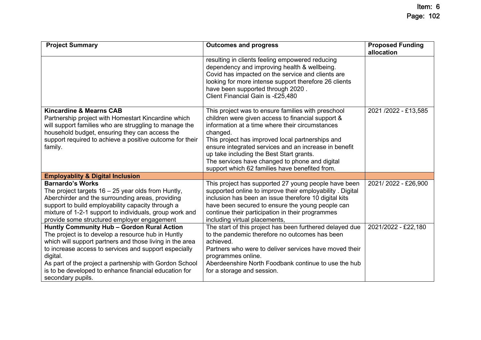| <b>Project Summary</b>                                                                                                                                                                                                                                                                                                                                                     | <b>Outcomes and progress</b>                                                                                                                                                                                                                                                                                                                                                                                                        | <b>Proposed Funding</b><br>allocation |
|----------------------------------------------------------------------------------------------------------------------------------------------------------------------------------------------------------------------------------------------------------------------------------------------------------------------------------------------------------------------------|-------------------------------------------------------------------------------------------------------------------------------------------------------------------------------------------------------------------------------------------------------------------------------------------------------------------------------------------------------------------------------------------------------------------------------------|---------------------------------------|
|                                                                                                                                                                                                                                                                                                                                                                            | resulting in clients feeling empowered reducing<br>dependency and improving health & wellbeing.<br>Covid has impacted on the service and clients are<br>looking for more intense support therefore 26 clients<br>have been supported through 2020.<br>Client Financial Gain is -£25,480                                                                                                                                             |                                       |
| <b>Kincardine &amp; Mearns CAB</b><br>Partnership project with Homestart Kincardine which<br>will support families who are struggling to manage the<br>household budget, ensuring they can access the<br>support required to achieve a positive outcome for their<br>family.                                                                                               | This project was to ensure families with preschool<br>children were given access to financial support &<br>information at a time where their circumstances<br>changed.<br>This project has improved local partnerships and<br>ensure integrated services and an increase in benefit<br>up take including the Best Start grants.<br>The services have changed to phone and digital<br>support which 62 families have benefited from. | 2021/2022 - £13,585                   |
| <b>Employablity &amp; Digital Inclusion</b>                                                                                                                                                                                                                                                                                                                                |                                                                                                                                                                                                                                                                                                                                                                                                                                     |                                       |
| <b>Barnardo's Works</b><br>The project targets $16 - 25$ year olds from Huntly,<br>Aberchirder and the surrounding areas, providing<br>support to build employability capacity through a<br>mixture of 1-2-1 support to individuals, group work and<br>provide some structured employer engagement                                                                         | This project has supported 27 young people have been<br>supported online to improve their employability. Digital<br>inclusion has been an issue therefore 10 digital kits<br>have been secured to ensure the young people can<br>continue their participation in their programmes<br>including virtual placements,                                                                                                                  | 2021/2022 - £26,900                   |
| Huntly Community Hub - Gordon Rural Action<br>The project is to develop a resource hub in Huntly<br>which will support partners and those living in the area<br>to increase access to services and support especially<br>digital.<br>As part of the project a partnership with Gordon School<br>is to be developed to enhance financial education for<br>secondary pupils. | The start of this project has been furthered delayed due<br>to the pandemic therefore no outcomes has been<br>achieved.<br>Partners who were to deliver services have moved their<br>programmes online.<br>Aberdeenshire North Foodbank continue to use the hub<br>for a storage and session.                                                                                                                                       | 2021/2022 - £22,180                   |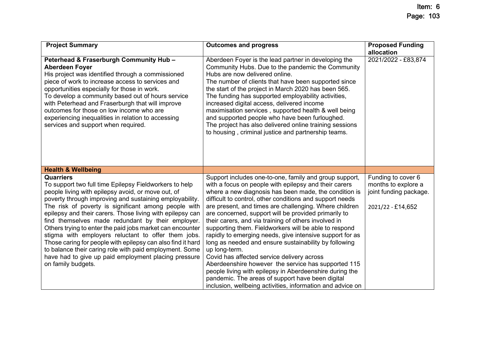| <b>Project Summary</b>                                                                                                                                                                                                                                                                                                                                                                                                                                                                                                                                                                                                                                                                            | <b>Outcomes and progress</b>                                                                                                                                                                                                                                                                                                                                                                                                                                                                                                                                                                                                                                                                                                                                                                                                                                                                    | <b>Proposed Funding</b>                                                                  |
|---------------------------------------------------------------------------------------------------------------------------------------------------------------------------------------------------------------------------------------------------------------------------------------------------------------------------------------------------------------------------------------------------------------------------------------------------------------------------------------------------------------------------------------------------------------------------------------------------------------------------------------------------------------------------------------------------|-------------------------------------------------------------------------------------------------------------------------------------------------------------------------------------------------------------------------------------------------------------------------------------------------------------------------------------------------------------------------------------------------------------------------------------------------------------------------------------------------------------------------------------------------------------------------------------------------------------------------------------------------------------------------------------------------------------------------------------------------------------------------------------------------------------------------------------------------------------------------------------------------|------------------------------------------------------------------------------------------|
| Peterhead & Fraserburgh Community Hub -<br><b>Aberdeen Foyer</b><br>His project was identified through a commissioned<br>piece of work to increase access to services and<br>opportunities especially for those in work.<br>To develop a community based out of hours service<br>with Peterhead and Fraserburgh that will improve<br>outcomes for those on low income who are<br>experiencing inequalities in relation to accessing<br>services and support when required.                                                                                                                                                                                                                        | Aberdeen Foyer is the lead partner in developing the<br>Community Hubs. Due to the pandemic the Community<br>Hubs are now delivered online.<br>The number of clients that have been supported since<br>the start of the project in March 2020 has been 565.<br>The funding has supported employability activities,<br>increased digital access, delivered income<br>maximisation services, supported health & well being<br>and supported people who have been furloughed.<br>The project has also delivered online training sessions<br>to housing, criminal justice and partnership teams.                                                                                                                                                                                                                                                                                                    | allocation<br>2021/2022 - £83,874                                                        |
| <b>Health &amp; Wellbeing</b>                                                                                                                                                                                                                                                                                                                                                                                                                                                                                                                                                                                                                                                                     |                                                                                                                                                                                                                                                                                                                                                                                                                                                                                                                                                                                                                                                                                                                                                                                                                                                                                                 |                                                                                          |
| <b>Quarriers</b><br>To support two full time Epilepsy Fieldworkers to help<br>people living with epilepsy avoid, or move out, of<br>poverty through improving and sustaining employability.<br>The risk of poverty is significant among people with<br>epilepsy and their carers. Those living with epilepsy can<br>find themselves made redundant by their employer.<br>Others trying to enter the paid jobs market can encounter<br>stigma with employers reluctant to offer them jobs.<br>Those caring for people with epilepsy can also find it hard<br>to balance their caring role with paid employment. Some<br>have had to give up paid employment placing pressure<br>on family budgets. | Support includes one-to-one, family and group support,<br>with a focus on people with epilepsy and their carers<br>where a new diagnosis has been made, the condition is<br>difficult to control, other conditions and support needs<br>are present, and times are challenging. Where children<br>are concerned, support will be provided primarily to<br>their carers, and via training of others involved in<br>supporting them. Fieldworkers will be able to respond<br>rapidly to emerging needs, give intensive support for as<br>long as needed and ensure sustainability by following<br>up long-term.<br>Covid has affected service delivery across<br>Aberdeenshire however the service has supported 115<br>people living with epilepsy in Aberdeenshire during the<br>pandemic. The areas of support have been digital<br>inclusion, wellbeing activities, information and advice on | Funding to cover 6<br>months to explore a<br>joint funding package.<br>2021/22 - £14,652 |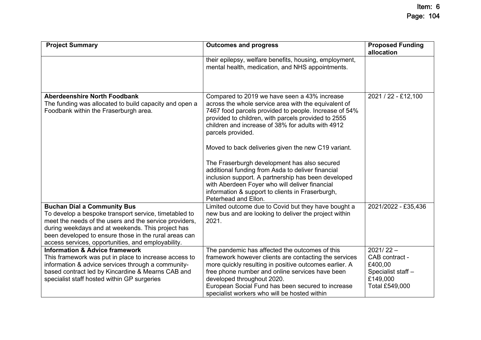| <b>Project Summary</b>                                                                                                                                                                                                                                                                                                    | <b>Outcomes and progress</b>                                                                                                                                                                                                                                                                                                                                                                                                                                                                                                                                                                                                                    | <b>Proposed Funding</b><br>allocation                                                        |
|---------------------------------------------------------------------------------------------------------------------------------------------------------------------------------------------------------------------------------------------------------------------------------------------------------------------------|-------------------------------------------------------------------------------------------------------------------------------------------------------------------------------------------------------------------------------------------------------------------------------------------------------------------------------------------------------------------------------------------------------------------------------------------------------------------------------------------------------------------------------------------------------------------------------------------------------------------------------------------------|----------------------------------------------------------------------------------------------|
|                                                                                                                                                                                                                                                                                                                           | their epilepsy, welfare benefits, housing, employment,<br>mental health, medication, and NHS appointments.                                                                                                                                                                                                                                                                                                                                                                                                                                                                                                                                      |                                                                                              |
| <b>Aberdeenshire North Foodbank</b><br>The funding was allocated to build capacity and open a<br>Foodbank within the Fraserburgh area.                                                                                                                                                                                    | Compared to 2019 we have seen a 43% increase<br>across the whole service area with the equivalent of<br>7467 food parcels provided to people. Increase of 54%<br>provided to children, with parcels provided to 2555<br>children and increase of 38% for adults with 4912<br>parcels provided.<br>Moved to back deliveries given the new C19 variant.<br>The Fraserburgh development has also secured<br>additional funding from Asda to deliver financial<br>inclusion support. A partnership has been developed<br>with Aberdeen Foyer who will deliver financial<br>information & support to clients in Fraserburgh,<br>Peterhead and Ellon. | 2021 / 22 - £12,100                                                                          |
| <b>Buchan Dial a Community Bus</b><br>To develop a bespoke transport service, timetabled to<br>meet the needs of the users and the service providers,<br>during weekdays and at weekends. This project has<br>been developed to ensure those in the rural areas can<br>access services, opportunities, and employability. | Limited outcome due to Covid but they have bought a<br>new bus and are looking to deliver the project within<br>2021.                                                                                                                                                                                                                                                                                                                                                                                                                                                                                                                           | 2021/2022 - £35,436                                                                          |
| <b>Information &amp; Advice framework</b><br>This framework was put in place to increase access to<br>information & advice services through a community-<br>based contract led by Kincardine & Mearns CAB and<br>specialist staff hosted within GP surgeries                                                              | The pandemic has affected the outcomes of this<br>framework however clients are contacting the services<br>more quickly resulting in positive outcomes earlier. A<br>free phone number and online services have been<br>developed throughout 2020.<br>European Social Fund has been secured to increase<br>specialist workers who will be hosted within                                                                                                                                                                                                                                                                                         | $2021/22 -$<br>CAB contract -<br>£400,00<br>Specialist staff -<br>£149,000<br>Total £549,000 |